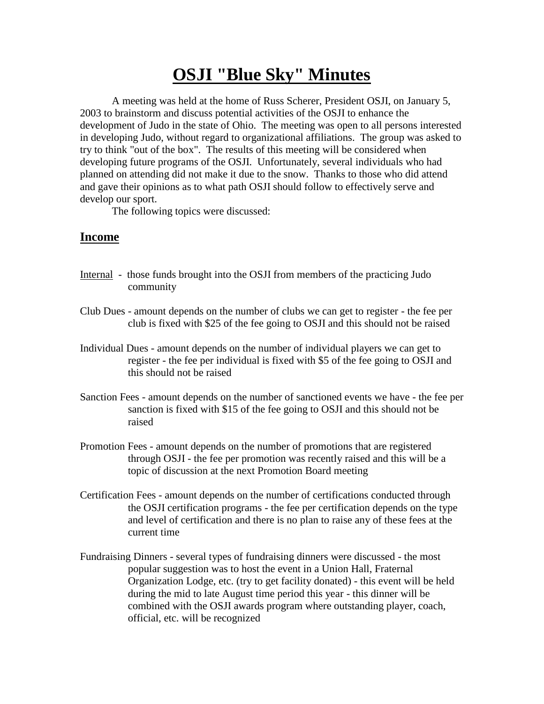## **OSJI "Blue Sky" Minutes**

A meeting was held at the home of Russ Scherer, President OSJI, on January 5, 2003 to brainstorm and discuss potential activities of the OSJI to enhance the development of Judo in the state of Ohio. The meeting was open to all persons interested in developing Judo, without regard to organizational affiliations. The group was asked to try to think "out of the box". The results of this meeting will be considered when developing future programs of the OSJI. Unfortunately, several individuals who had planned on attending did not make it due to the snow. Thanks to those who did attend and gave their opinions as to what path OSJI should follow to effectively serve and develop our sport.

The following topics were discussed:

## **Income**

- Internal those funds brought into the OSJI from members of the practicing Judo community
- Club Dues amount depends on the number of clubs we can get to register the fee per club is fixed with \$25 of the fee going to OSJI and this should not be raised
- Individual Dues amount depends on the number of individual players we can get to register - the fee per individual is fixed with \$5 of the fee going to OSJI and this should not be raised
- Sanction Fees amount depends on the number of sanctioned events we have the fee per sanction is fixed with \$15 of the fee going to OSJI and this should not be raised
- Promotion Fees amount depends on the number of promotions that are registered through OSJI - the fee per promotion was recently raised and this will be a topic of discussion at the next Promotion Board meeting
- Certification Fees amount depends on the number of certifications conducted through the OSJI certification programs - the fee per certification depends on the type and level of certification and there is no plan to raise any of these fees at the current time
- Fundraising Dinners several types of fundraising dinners were discussed the most popular suggestion was to host the event in a Union Hall, Fraternal Organization Lodge, etc. (try to get facility donated) - this event will be held during the mid to late August time period this year - this dinner will be combined with the OSJI awards program where outstanding player, coach, official, etc. will be recognized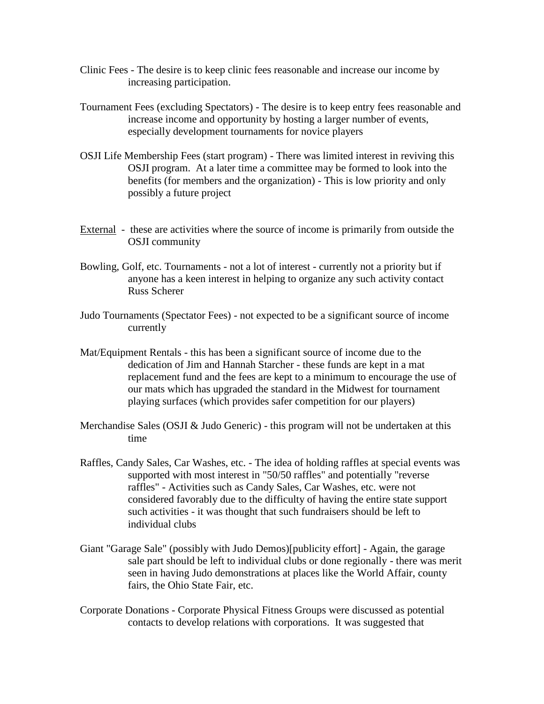- Clinic Fees The desire is to keep clinic fees reasonable and increase our income by increasing participation.
- Tournament Fees (excluding Spectators) The desire is to keep entry fees reasonable and increase income and opportunity by hosting a larger number of events, especially development tournaments for novice players
- OSJI Life Membership Fees (start program) There was limited interest in reviving this OSJI program. At a later time a committee may be formed to look into the benefits (for members and the organization) - This is low priority and only possibly a future project
- External these are activities where the source of income is primarily from outside the OSJI community
- Bowling, Golf, etc. Tournaments not a lot of interest currently not a priority but if anyone has a keen interest in helping to organize any such activity contact Russ Scherer
- Judo Tournaments (Spectator Fees) not expected to be a significant source of income currently
- Mat/Equipment Rentals this has been a significant source of income due to the dedication of Jim and Hannah Starcher - these funds are kept in a mat replacement fund and the fees are kept to a minimum to encourage the use of our mats which has upgraded the standard in the Midwest for tournament playing surfaces (which provides safer competition for our players)
- Merchandise Sales (OSJI & Judo Generic) this program will not be undertaken at this time
- Raffles, Candy Sales, Car Washes, etc. The idea of holding raffles at special events was supported with most interest in "50/50 raffles" and potentially "reverse raffles" - Activities such as Candy Sales, Car Washes, etc. were not considered favorably due to the difficulty of having the entire state support such activities - it was thought that such fundraisers should be left to individual clubs
- Giant "Garage Sale" (possibly with Judo Demos)[publicity effort] Again, the garage sale part should be left to individual clubs or done regionally - there was merit seen in having Judo demonstrations at places like the World Affair, county fairs, the Ohio State Fair, etc.
- Corporate Donations Corporate Physical Fitness Groups were discussed as potential contacts to develop relations with corporations. It was suggested that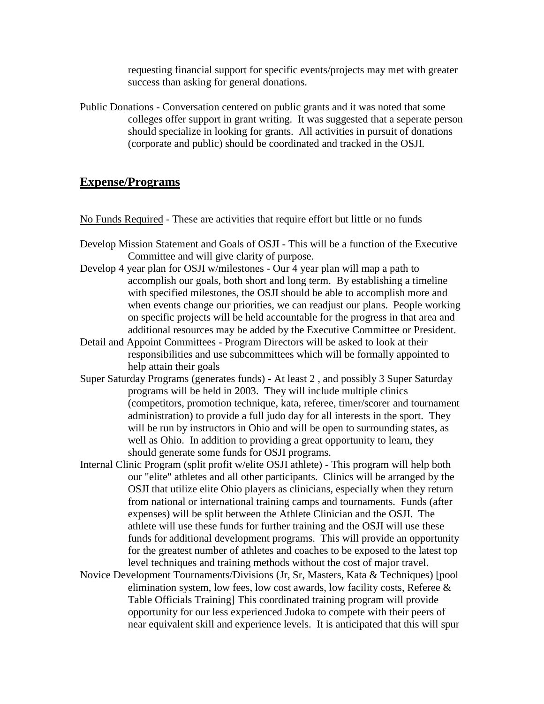requesting financial support for specific events/projects may met with greater success than asking for general donations.

Public Donations - Conversation centered on public grants and it was noted that some colleges offer support in grant writing. It was suggested that a seperate person should specialize in looking for grants. All activities in pursuit of donations (corporate and public) should be coordinated and tracked in the OSJI.

## **Expense/Programs**

No Funds Required - These are activities that require effort but little or no funds

- Develop Mission Statement and Goals of OSJI This will be a function of the Executive Committee and will give clarity of purpose.
- Develop 4 year plan for OSJI w/milestones Our 4 year plan will map a path to accomplish our goals, both short and long term. By establishing a timeline with specified milestones, the OSJI should be able to accomplish more and when events change our priorities, we can readjust our plans. People working on specific projects will be held accountable for the progress in that area and additional resources may be added by the Executive Committee or President.
- Detail and Appoint Committees Program Directors will be asked to look at their responsibilities and use subcommittees which will be formally appointed to help attain their goals
- Super Saturday Programs (generates funds) At least 2 , and possibly 3 Super Saturday programs will be held in 2003. They will include multiple clinics (competitors, promotion technique, kata, referee, timer/scorer and tournament administration) to provide a full judo day for all interests in the sport. They will be run by instructors in Ohio and will be open to surrounding states, as well as Ohio. In addition to providing a great opportunity to learn, they should generate some funds for OSJI programs.
- Internal Clinic Program (split profit w/elite OSJI athlete) This program will help both our "elite" athletes and all other participants. Clinics will be arranged by the OSJI that utilize elite Ohio players as clinicians, especially when they return from national or international training camps and tournaments. Funds (after expenses) will be split between the Athlete Clinician and the OSJI. The athlete will use these funds for further training and the OSJI will use these funds for additional development programs. This will provide an opportunity for the greatest number of athletes and coaches to be exposed to the latest top level techniques and training methods without the cost of major travel.
- Novice Development Tournaments/Divisions (Jr, Sr, Masters, Kata & Techniques) [pool elimination system, low fees, low cost awards, low facility costs, Referee & Table Officials Training] This coordinated training program will provide opportunity for our less experienced Judoka to compete with their peers of near equivalent skill and experience levels. It is anticipated that this will spur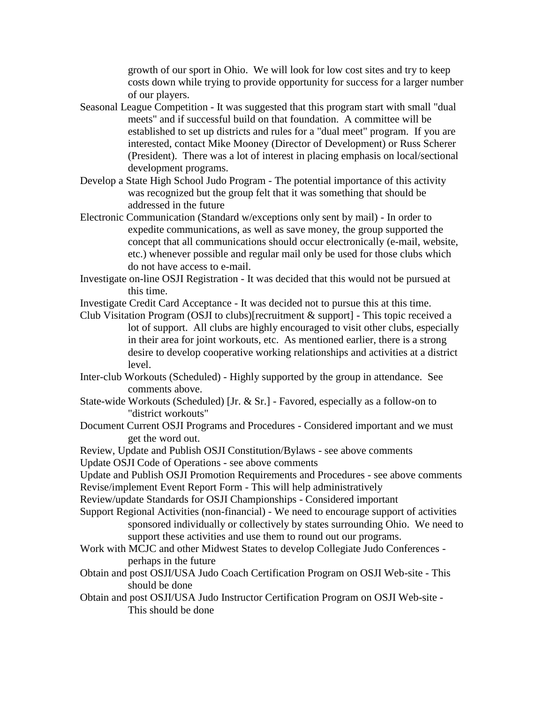growth of our sport in Ohio. We will look for low cost sites and try to keep costs down while trying to provide opportunity for success for a larger number of our players.

- Seasonal League Competition It was suggested that this program start with small "dual meets" and if successful build on that foundation. A committee will be established to set up districts and rules for a "dual meet" program. If you are interested, contact Mike Mooney (Director of Development) or Russ Scherer (President). There was a lot of interest in placing emphasis on local/sectional development programs.
- Develop a State High School Judo Program The potential importance of this activity was recognized but the group felt that it was something that should be addressed in the future
- Electronic Communication (Standard w/exceptions only sent by mail) In order to expedite communications, as well as save money, the group supported the concept that all communications should occur electronically (e-mail, website, etc.) whenever possible and regular mail only be used for those clubs which do not have access to e-mail.
- Investigate on-line OSJI Registration It was decided that this would not be pursued at this time.
- Investigate Credit Card Acceptance It was decided not to pursue this at this time.
- Club Visitation Program (OSJI to clubs)[recruitment & support] This topic received a lot of support. All clubs are highly encouraged to visit other clubs, especially in their area for joint workouts, etc. As mentioned earlier, there is a strong desire to develop cooperative working relationships and activities at a district level.
- Inter-club Workouts (Scheduled) Highly supported by the group in attendance. See comments above.
- State-wide Workouts (Scheduled) [Jr. & Sr.] Favored, especially as a follow-on to "district workouts"
- Document Current OSJI Programs and Procedures Considered important and we must get the word out.

Review, Update and Publish OSJI Constitution/Bylaws - see above comments Update OSJI Code of Operations - see above comments

Update and Publish OSJI Promotion Requirements and Procedures - see above comments Revise/implement Event Report Form - This will help administratively

- Review/update Standards for OSJI Championships Considered important
- Support Regional Activities (non-financial) We need to encourage support of activities sponsored individually or collectively by states surrounding Ohio. We need to support these activities and use them to round out our programs.
- Work with MCJC and other Midwest States to develop Collegiate Judo Conferences perhaps in the future
- Obtain and post OSJI/USA Judo Coach Certification Program on OSJI Web-site This should be done
- Obtain and post OSJI/USA Judo Instructor Certification Program on OSJI Web-site This should be done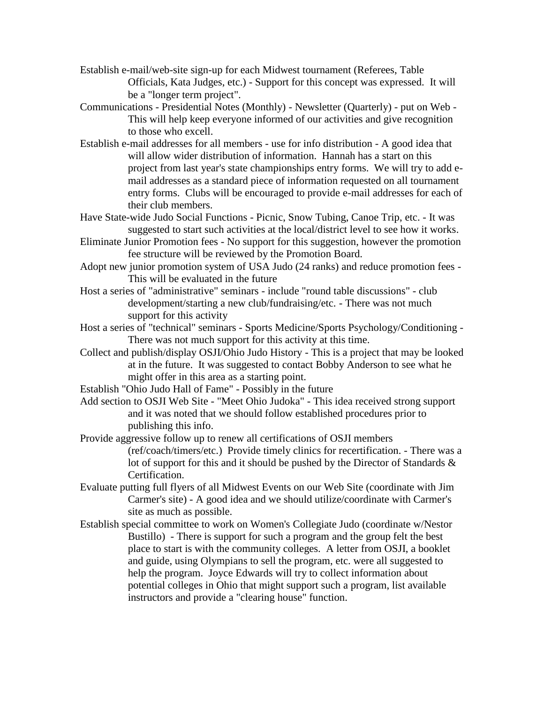- Establish e-mail/web-site sign-up for each Midwest tournament (Referees, Table Officials, Kata Judges, etc.) - Support for this concept was expressed. It will be a "longer term project".
- Communications Presidential Notes (Monthly) Newsletter (Quarterly) put on Web This will help keep everyone informed of our activities and give recognition to those who excell.
- Establish e-mail addresses for all members use for info distribution A good idea that will allow wider distribution of information. Hannah has a start on this project from last year's state championships entry forms. We will try to add email addresses as a standard piece of information requested on all tournament entry forms. Clubs will be encouraged to provide e-mail addresses for each of their club members.
- Have State-wide Judo Social Functions Picnic, Snow Tubing, Canoe Trip, etc. It was suggested to start such activities at the local/district level to see how it works.
- Eliminate Junior Promotion fees No support for this suggestion, however the promotion fee structure will be reviewed by the Promotion Board.
- Adopt new junior promotion system of USA Judo (24 ranks) and reduce promotion fees This will be evaluated in the future
- Host a series of "administrative" seminars include "round table discussions" club development/starting a new club/fundraising/etc. - There was not much support for this activity
- Host a series of "technical" seminars Sports Medicine/Sports Psychology/Conditioning There was not much support for this activity at this time.
- Collect and publish/display OSJI/Ohio Judo History This is a project that may be looked at in the future. It was suggested to contact Bobby Anderson to see what he might offer in this area as a starting point.
- Establish "Ohio Judo Hall of Fame" Possibly in the future
- Add section to OSJI Web Site "Meet Ohio Judoka" This idea received strong support and it was noted that we should follow established procedures prior to publishing this info.
- Provide aggressive follow up to renew all certifications of OSJI members (ref/coach/timers/etc.) Provide timely clinics for recertification. - There was a lot of support for this and it should be pushed by the Director of Standards & Certification.
- Evaluate putting full flyers of all Midwest Events on our Web Site (coordinate with Jim Carmer's site) - A good idea and we should utilize/coordinate with Carmer's site as much as possible.
- Establish special committee to work on Women's Collegiate Judo (coordinate w/Nestor Bustillo) - There is support for such a program and the group felt the best place to start is with the community colleges. A letter from OSJI, a booklet and guide, using Olympians to sell the program, etc. were all suggested to help the program. Joyce Edwards will try to collect information about potential colleges in Ohio that might support such a program, list available instructors and provide a "clearing house" function.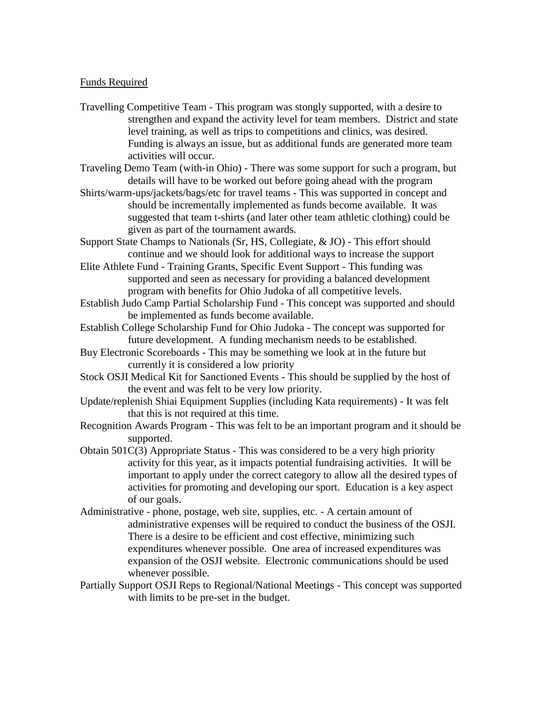## Funds Required

- Travelling Competitive Team This program was stongly supported, with a desire to strengthen and expand the activity level for team members. District and state level training, as well as trips to competitions and clinics, was desired. Funding is always an issue, but as additional funds are generated more team activities will occur.
- Traveling Demo Team (with-in Ohio) There was some support for such a program, but details will have to be worked out before going ahead with the program
- Shirts/warm-ups/jackets/bags/etc for travel teams This was supported in concept and should be incrementally implemented as funds become available. It was suggested that team t-shirts (and later other team athletic clothing) could be given as part of the tournament awards.
- Support State Champs to Nationals (Sr, HS, Collegiate, & JO) This effort should continue and we should look for additional ways to increase the support
- Elite Athlete Fund Training Grants, Specific Event Support This funding was supported and seen as necessary for providing a balanced development program with benefits for Ohio Judoka of all competitive levels.
- Establish Judo Camp Partial Scholarship Fund This concept was supported and should be implemented as funds become available.
- Establish College Scholarship Fund for Ohio Judoka The concept was supported for future development. A funding mechanism needs to be established.
- Buy Electronic Scoreboards This may be something we look at in the future but currently it is considered a low priority
- Stock OSJI Medical Kit for Sanctioned Events This should be supplied by the host of the event and was felt to be very low priority.
- Update/replenish Shiai Equipment Supplies (including Kata requirements) It was felt that this is not required at this time.
- Recognition Awards Program This was felt to be an important program and it should be supported.
- Obtain  $501C(3)$  Appropriate Status This was considered to be a very high priority activity for this year, as it impacts potential fundraising activities. It will be important to apply under the correct category to allow all the desired types of activities for promoting and developing our sport. Education is a key aspect of our goals.
- Administrative phone, postage, web site, supplies, etc. A certain amount of administrative expenses will be required to conduct the business of the OSJI. There is a desire to be efficient and cost effective, minimizing such expenditures whenever possible. One area of increased expenditures was expansion of the OSJI website. Electronic communications should be used whenever possible.
- Partially Support OSJI Reps to Regional/National Meetings This concept was supported with limits to be pre-set in the budget.